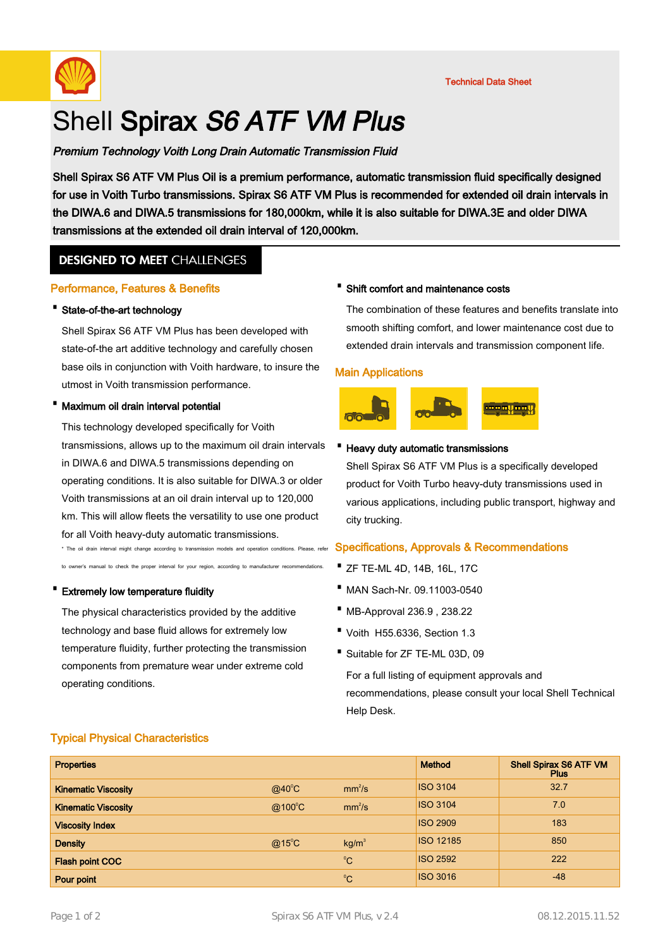

# Shell Spirax S6 ATF VM Plus

Premium Technology Voith Long Drain Automatic Transmission Fluid

Shell Spirax S6 ATF VM Plus Oil is a premium performance, automatic transmission fluid specifically designed for use in Voith Turbo transmissions. Spirax S6 ATF VM Plus is recommended for extended oil drain intervals in the DIWA.6 and DIWA.5 transmissions for 180,000km, while it is also suitable for DIWA.3E and older DIWA transmissions at the extended oil drain interval of 120,000km.

# **DESIGNED TO MEET CHALLENGES**

# Performance, Features & Benefits

# · State-of-the-art technology

Shell Spirax S6 ATF VM Plus has been developed with state-of-the art additive technology and carefully chosen base oils in conjunction with Voith hardware, to insure the utmost in Voith transmission performance.

# · Maximum oil drain interval potential

This technology developed specifically for Voith transmissions, allows up to the maximum oil drain intervals in DIWA.6 and DIWA.5 transmissions depending on operating conditions. It is also suitable for DIWA.3 or older Voith transmissions at an oil drain interval up to 120,000 km. This will allow fleets the versatility to use one product for all Voith heavy-duty automatic transmissions.

\* The oil drain interval might change according to transmission models and operation conditions. Please, refer to owner's manual to check the proper interval for your region, according to manufacturer recommendations.

#### · Extremely low temperature fluidity

The physical characteristics provided by the additive technology and base fluid allows for extremely low temperature fluidity, further protecting the transmission components from premature wear under extreme cold operating conditions.

# · Shift comfort and maintenance costs

The combination of these features and benefits translate into smooth shifting comfort, and lower maintenance cost due to extended drain intervals and transmission component life.

#### Main Applications



#### · Heavy duty automatic transmissions

Shell Spirax S6 ATF VM Plus is a specifically developed product for Voith Turbo heavy-duty transmissions used in various applications, including public transport, highway and city trucking.

# Specifications, Approvals & Recommendations

- · ZF TE-ML 4D, 14B, 16L, 17C
- · MAN Sach-Nr. 09.11003-0540
- · MB-Approval 236.9 , 238.22
- · Voith H55.6336, Section 1.3
- · Suitable for ZF TE-ML 03D, 09

For a full listing of equipment approvals and recommendations, please consult your local Shell Technical Help Desk.

# Typical Physical Characteristics

| <b>Properties</b>          |                  |                    | <b>Method</b>    | <b>Shell Spirax S6 ATF VM</b><br><b>Plus</b> |
|----------------------------|------------------|--------------------|------------------|----------------------------------------------|
| <b>Kinematic Viscosity</b> | $@$ 40 $°C$      | mm <sup>2</sup> /s | <b>ISO 3104</b>  | 32.7                                         |
| <b>Kinematic Viscosity</b> | $@100^{\circ}$ C | mm <sup>2</sup> /s | <b>ISO 3104</b>  | 7.0                                          |
| <b>Viscosity Index</b>     |                  |                    | <b>ISO 2909</b>  | 183                                          |
| <b>Density</b>             | $@15^{\circ}$ C  | kg/m <sup>3</sup>  | <b>ISO 12185</b> | 850                                          |
| <b>Flash point COC</b>     |                  | $^{\circ}C$        | <b>ISO 2592</b>  | 222                                          |
| Pour point                 |                  | $^{\circ}C$        | <b>ISO 3016</b>  | $-48$                                        |